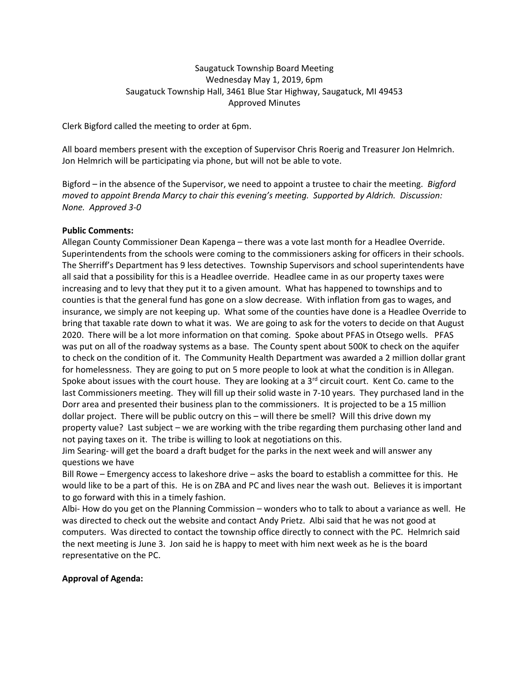# Saugatuck Township Board Meeting Wednesday May 1, 2019, 6pm Saugatuck Township Hall, 3461 Blue Star Highway, Saugatuck, MI 49453 Approved Minutes

Clerk Bigford called the meeting to order at 6pm.

All board members present with the exception of Supervisor Chris Roerig and Treasurer Jon Helmrich. Jon Helmrich will be participating via phone, but will not be able to vote.

Bigford – in the absence of the Supervisor, we need to appoint a trustee to chair the meeting. *Bigford moved to appoint Brenda Marcy to chair this evening's meeting. Supported by Aldrich. Discussion: None. Approved 3-0*

# **Public Comments:**

Allegan County Commissioner Dean Kapenga – there was a vote last month for a Headlee Override. Superintendents from the schools were coming to the commissioners asking for officers in their schools. The Sherriff's Department has 9 less detectives. Township Supervisors and school superintendents have all said that a possibility for this is a Headlee override. Headlee came in as our property taxes were increasing and to levy that they put it to a given amount. What has happened to townships and to counties is that the general fund has gone on a slow decrease. With inflation from gas to wages, and insurance, we simply are not keeping up. What some of the counties have done is a Headlee Override to bring that taxable rate down to what it was. We are going to ask for the voters to decide on that August 2020. There will be a lot more information on that coming. Spoke about PFAS in Otsego wells. PFAS was put on all of the roadway systems as a base. The County spent about 500K to check on the aquifer to check on the condition of it. The Community Health Department was awarded a 2 million dollar grant for homelessness. They are going to put on 5 more people to look at what the condition is in Allegan. Spoke about issues with the court house. They are looking at a  $3<sup>rd</sup>$  circuit court. Kent Co. came to the last Commissioners meeting. They will fill up their solid waste in 7-10 years. They purchased land in the Dorr area and presented their business plan to the commissioners. It is projected to be a 15 million dollar project. There will be public outcry on this – will there be smell? Will this drive down my property value? Last subject – we are working with the tribe regarding them purchasing other land and not paying taxes on it. The tribe is willing to look at negotiations on this.

Jim Searing- will get the board a draft budget for the parks in the next week and will answer any questions we have

Bill Rowe – Emergency access to lakeshore drive – asks the board to establish a committee for this. He would like to be a part of this. He is on ZBA and PC and lives near the wash out. Believes it is important to go forward with this in a timely fashion.

Albi- How do you get on the Planning Commission – wonders who to talk to about a variance as well. He was directed to check out the website and contact Andy Prietz. Albi said that he was not good at computers. Was directed to contact the township office directly to connect with the PC. Helmrich said the next meeting is June 3. Jon said he is happy to meet with him next week as he is the board representative on the PC.

# **Approval of Agenda:**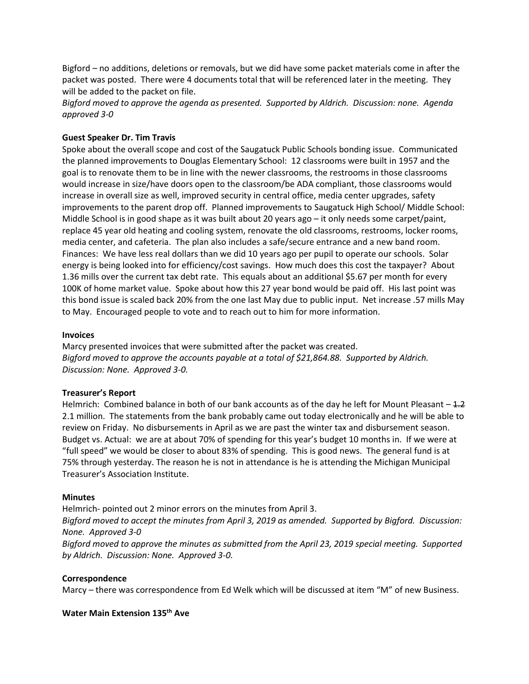Bigford – no additions, deletions or removals, but we did have some packet materials come in after the packet was posted. There were 4 documents total that will be referenced later in the meeting. They will be added to the packet on file.

*Bigford moved to approve the agenda as presented. Supported by Aldrich. Discussion: none. Agenda approved 3-0*

## **Guest Speaker Dr. Tim Travis**

Spoke about the overall scope and cost of the Saugatuck Public Schools bonding issue. Communicated the planned improvements to Douglas Elementary School: 12 classrooms were built in 1957 and the goal is to renovate them to be in line with the newer classrooms, the restrooms in those classrooms would increase in size/have doors open to the classroom/be ADA compliant, those classrooms would increase in overall size as well, improved security in central office, media center upgrades, safety improvements to the parent drop off. Planned improvements to Saugatuck High School/ Middle School: Middle School is in good shape as it was built about 20 years ago – it only needs some carpet/paint, replace 45 year old heating and cooling system, renovate the old classrooms, restrooms, locker rooms, media center, and cafeteria. The plan also includes a safe/secure entrance and a new band room. Finances: We have less real dollars than we did 10 years ago per pupil to operate our schools. Solar energy is being looked into for efficiency/cost savings. How much does this cost the taxpayer? About 1.36 mills over the current tax debt rate. This equals about an additional \$5.67 per month for every 100K of home market value. Spoke about how this 27 year bond would be paid off. His last point was this bond issue is scaled back 20% from the one last May due to public input. Net increase .57 mills May to May. Encouraged people to vote and to reach out to him for more information.

#### **Invoices**

Marcy presented invoices that were submitted after the packet was created. *Bigford moved to approve the accounts payable at a total of \$21,864.88. Supported by Aldrich. Discussion: None. Approved 3-0.*

### **Treasurer's Report**

Helmrich: Combined balance in both of our bank accounts as of the day he left for Mount Pleasant  $-4.2$ 2.1 million. The statements from the bank probably came out today electronically and he will be able to review on Friday. No disbursements in April as we are past the winter tax and disbursement season. Budget vs. Actual: we are at about 70% of spending for this year's budget 10 months in. If we were at "full speed" we would be closer to about 83% of spending. This is good news. The general fund is at 75% through yesterday. The reason he is not in attendance is he is attending the Michigan Municipal Treasurer's Association Institute.

#### **Minutes**

Helmrich- pointed out 2 minor errors on the minutes from April 3. *Bigford moved to accept the minutes from April 3, 2019 as amended. Supported by Bigford. Discussion: None. Approved 3-0 Bigford moved to approve the minutes as submitted from the April 23, 2019 special meeting. Supported by Aldrich. Discussion: None. Approved 3-0.*

#### **Correspondence**

Marcy – there was correspondence from Ed Welk which will be discussed at item "M" of new Business.

## **Water Main Extension 135th Ave**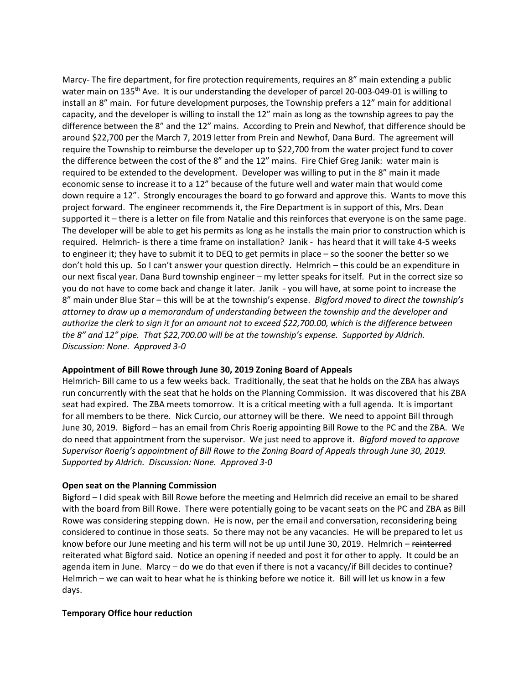Marcy- The fire department, for fire protection requirements, requires an 8" main extending a public water main on 135<sup>th</sup> Ave. It is our understanding the developer of parcel 20-003-049-01 is willing to install an 8" main. For future development purposes, the Township prefers a 12" main for additional capacity, and the developer is willing to install the 12" main as long as the township agrees to pay the difference between the 8" and the 12" mains. According to Prein and Newhof, that difference should be around \$22,700 per the March 7, 2019 letter from Prein and Newhof, Dana Burd. The agreement will require the Township to reimburse the developer up to \$22,700 from the water project fund to cover the difference between the cost of the 8" and the 12" mains. Fire Chief Greg Janik: water main is required to be extended to the development. Developer was willing to put in the 8" main it made economic sense to increase it to a 12" because of the future well and water main that would come down require a 12". Strongly encourages the board to go forward and approve this. Wants to move this project forward. The engineer recommends it, the Fire Department is in support of this, Mrs. Dean supported it – there is a letter on file from Natalie and this reinforces that everyone is on the same page. The developer will be able to get his permits as long as he installs the main prior to construction which is required. Helmrich- is there a time frame on installation? Janik - has heard that it will take 4-5 weeks to engineer it; they have to submit it to DEQ to get permits in place – so the sooner the better so we don't hold this up. So I can't answer your question directly. Helmrich – this could be an expenditure in our next fiscal year. Dana Burd township engineer – my letter speaks for itself. Put in the correct size so you do not have to come back and change it later. Janik - you will have, at some point to increase the 8" main under Blue Star – this will be at the township's expense. *Bigford moved to direct the township's attorney to draw up a memorandum of understanding between the township and the developer and authorize the clerk to sign it for an amount not to exceed \$22,700.00, which is the difference between the 8" and 12" pipe. That \$22,700.00 will be at the township's expense. Supported by Aldrich. Discussion: None. Approved 3-0*

### **Appointment of Bill Rowe through June 30, 2019 Zoning Board of Appeals**

Helmrich- Bill came to us a few weeks back. Traditionally, the seat that he holds on the ZBA has always run concurrently with the seat that he holds on the Planning Commission. It was discovered that his ZBA seat had expired. The ZBA meets tomorrow. It is a critical meeting with a full agenda. It is important for all members to be there. Nick Curcio, our attorney will be there. We need to appoint Bill through June 30, 2019. Bigford – has an email from Chris Roerig appointing Bill Rowe to the PC and the ZBA. We do need that appointment from the supervisor. We just need to approve it. *Bigford moved to approve Supervisor Roerig's appointment of Bill Rowe to the Zoning Board of Appeals through June 30, 2019. Supported by Aldrich. Discussion: None. Approved 3-0*

### **Open seat on the Planning Commission**

Bigford – I did speak with Bill Rowe before the meeting and Helmrich did receive an email to be shared with the board from Bill Rowe. There were potentially going to be vacant seats on the PC and ZBA as Bill Rowe was considering stepping down. He is now, per the email and conversation, reconsidering being considered to continue in those seats. So there may not be any vacancies. He will be prepared to let us know before our June meeting and his term will not be up until June 30, 2019. Helmrich – reinterred reiterated what Bigford said. Notice an opening if needed and post it for other to apply. It could be an agenda item in June. Marcy – do we do that even if there is not a vacancy/if Bill decides to continue? Helmrich – we can wait to hear what he is thinking before we notice it. Bill will let us know in a few days.

# **Temporary Office hour reduction**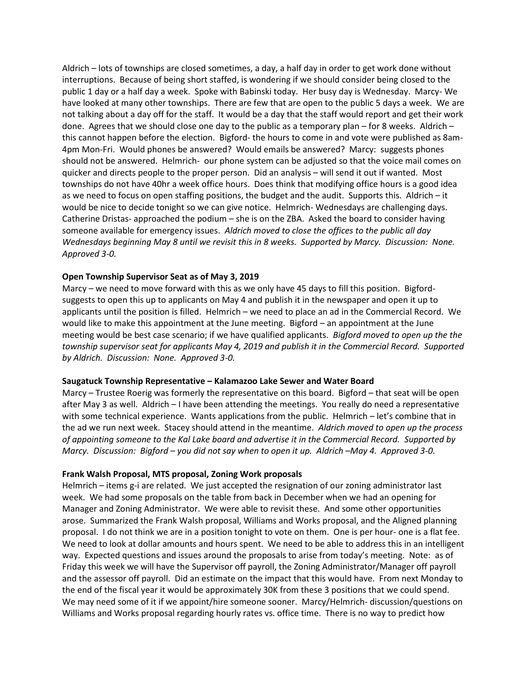Aldrich – lots of townships are closed sometimes, a day, a half day in order to get work done without interruptions. Because of being short staffed, is wondering if we should consider being closed to the public 1 day or a half day a week. Spoke with Babinski today. Her busy day is Wednesday. Marcy- We have looked at many other townships. There are few that are open to the public 5 days a week. We are not talking about a day off for the staff. It would be a day that the staff would report and get their work done. Agrees that we should close one day to the public as a temporary plan – for 8 weeks. Aldrich – this cannot happen before the election. Bigford- the hours to come in and vote were published as 8am-4pm Mon-Fri. Would phones be answered? Would emails be answered? Marcy: suggests phones should not be answered. Helmrich- our phone system can be adjusted so that the voice mail comes on quicker and directs people to the proper person. Did an analysis – will send it out if wanted. Most townships do not have 40hr a week office hours. Does think that modifying office hours is a good idea as we need to focus on open staffing positions, the budget and the audit. Supports this. Aldrich – it would be nice to decide tonight so we can give notice. Helmrich- Wednesdays are challenging days. Catherine Dristas- approached the podium – she is on the ZBA. Asked the board to consider having someone available for emergency issues. *Aldrich moved to close the offices to the public all day Wednesdays beginning May 8 until we revisit this in 8 weeks. Supported by Marcy. Discussion: None. Approved 3-0.*

## **Open Township Supervisor Seat as of May 3, 2019**

Marcy – we need to move forward with this as we only have 45 days to fill this position. Bigfordsuggests to open this up to applicants on May 4 and publish it in the newspaper and open it up to applicants until the position is filled. Helmrich – we need to place an ad in the Commercial Record. We would like to make this appointment at the June meeting. Bigford – an appointment at the June meeting would be best case scenario; if we have qualified applicants. *Bigford moved to open up the the township supervisor seat for applicants May 4, 2019 and publish it in the Commercial Record. Supported by Aldrich. Discussion: None. Approved 3-0.* 

### **Saugatuck Township Representative – Kalamazoo Lake Sewer and Water Board**

Marcy – Trustee Roerig was formerly the representative on this board. Bigford – that seat will be open after May 3 as well. Aldrich – I have been attending the meetings. You really do need a representative with some technical experience. Wants applications from the public. Helmrich – let's combine that in the ad we run next week. Stacey should attend in the meantime. *Aldrich moved to open up the process of appointing someone to the Kal Lake board and advertise it in the Commercial Record. Supported by Marcy. Discussion: Bigford – you did not say when to open it up. Aldrich –May 4. Approved 3-0.*

### **Frank Walsh Proposal, MTS proposal, Zoning Work proposals**

Helmrich – items g-i are related. We just accepted the resignation of our zoning administrator last week. We had some proposals on the table from back in December when we had an opening for Manager and Zoning Administrator. We were able to revisit these. And some other opportunities arose. Summarized the Frank Walsh proposal, Williams and Works proposal, and the Aligned planning proposal. I do not think we are in a position tonight to vote on them. One is per hour- one is a flat fee. We need to look at dollar amounts and hours spent. We need to be able to address this in an intelligent way. Expected questions and issues around the proposals to arise from today's meeting. Note: as of Friday this week we will have the Supervisor off payroll, the Zoning Administrator/Manager off payroll and the assessor off payroll. Did an estimate on the impact that this would have. From next Monday to the end of the fiscal year it would be approximately 30K from these 3 positions that we could spend. We may need some of it if we appoint/hire someone sooner. Marcy/Helmrich- discussion/questions on Williams and Works proposal regarding hourly rates vs. office time. There is no way to predict how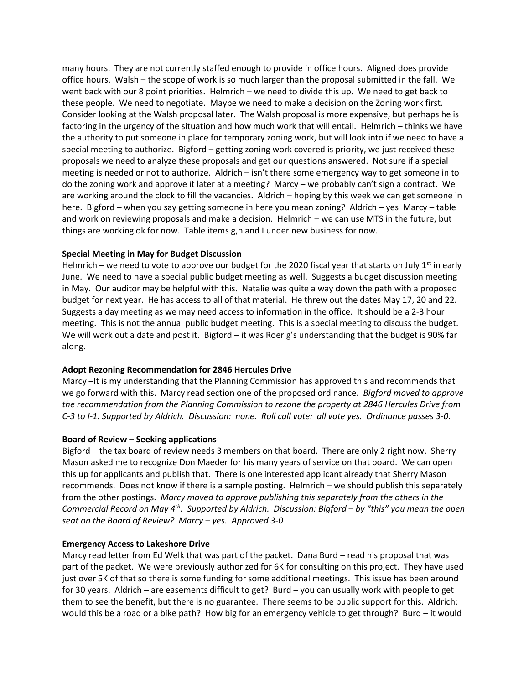many hours. They are not currently staffed enough to provide in office hours. Aligned does provide office hours. Walsh – the scope of work is so much larger than the proposal submitted in the fall. We went back with our 8 point priorities. Helmrich – we need to divide this up. We need to get back to these people. We need to negotiate. Maybe we need to make a decision on the Zoning work first. Consider looking at the Walsh proposal later. The Walsh proposal is more expensive, but perhaps he is factoring in the urgency of the situation and how much work that will entail. Helmrich – thinks we have the authority to put someone in place for temporary zoning work, but will look into if we need to have a special meeting to authorize. Bigford – getting zoning work covered is priority, we just received these proposals we need to analyze these proposals and get our questions answered. Not sure if a special meeting is needed or not to authorize. Aldrich – isn't there some emergency way to get someone in to do the zoning work and approve it later at a meeting? Marcy – we probably can't sign a contract. We are working around the clock to fill the vacancies. Aldrich – hoping by this week we can get someone in here. Bigford – when you say getting someone in here you mean zoning? Aldrich – yes Marcy – table and work on reviewing proposals and make a decision. Helmrich – we can use MTS in the future, but things are working ok for now. Table items g,h and I under new business for now.

### **Special Meeting in May for Budget Discussion**

Helmrich – we need to vote to approve our budget for the 2020 fiscal year that starts on July 1<sup>st</sup> in early June. We need to have a special public budget meeting as well. Suggests a budget discussion meeting in May. Our auditor may be helpful with this. Natalie was quite a way down the path with a proposed budget for next year. He has access to all of that material. He threw out the dates May 17, 20 and 22. Suggests a day meeting as we may need access to information in the office. It should be a 2-3 hour meeting. This is not the annual public budget meeting. This is a special meeting to discuss the budget. We will work out a date and post it. Bigford – it was Roerig's understanding that the budget is 90% far along.

### **Adopt Rezoning Recommendation for 2846 Hercules Drive**

Marcy –It is my understanding that the Planning Commission has approved this and recommends that we go forward with this. Marcy read section one of the proposed ordinance. *Bigford moved to approve the recommendation from the Planning Commission to rezone the property at 2846 Hercules Drive from C-3 to I-1. Supported by Aldrich. Discussion: none. Roll call vote: all vote yes. Ordinance passes 3-0.*

### **Board of Review – Seeking applications**

Bigford – the tax board of review needs 3 members on that board. There are only 2 right now. Sherry Mason asked me to recognize Don Maeder for his many years of service on that board. We can open this up for applicants and publish that. There is one interested applicant already that Sherry Mason recommends. Does not know if there is a sample posting. Helmrich – we should publish this separately from the other postings. *Marcy moved to approve publishing this separately from the others in the Commercial Record on May 4<sup>th</sup>. Supported by Aldrich. Discussion: Bigford – by "this" you mean the open seat on the Board of Review? Marcy – yes. Approved 3-0*

### **Emergency Access to Lakeshore Drive**

Marcy read letter from Ed Welk that was part of the packet. Dana Burd – read his proposal that was part of the packet. We were previously authorized for 6K for consulting on this project. They have used just over 5K of that so there is some funding for some additional meetings. This issue has been around for 30 years. Aldrich – are easements difficult to get? Burd – you can usually work with people to get them to see the benefit, but there is no guarantee. There seems to be public support for this. Aldrich: would this be a road or a bike path? How big for an emergency vehicle to get through? Burd – it would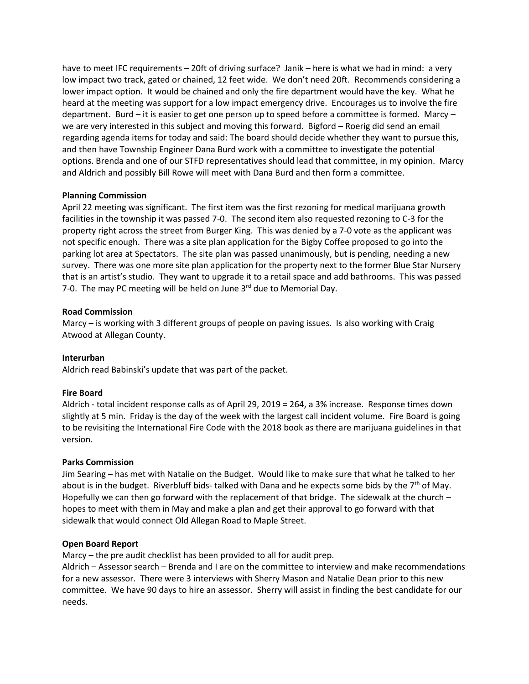have to meet IFC requirements – 20ft of driving surface? Janik – here is what we had in mind: a very low impact two track, gated or chained, 12 feet wide. We don't need 20ft. Recommends considering a lower impact option. It would be chained and only the fire department would have the key. What he heard at the meeting was support for a low impact emergency drive. Encourages us to involve the fire department. Burd – it is easier to get one person up to speed before a committee is formed. Marcy – we are very interested in this subject and moving this forward. Bigford – Roerig did send an email regarding agenda items for today and said: The board should decide whether they want to pursue this, and then have Township Engineer Dana Burd work with a committee to investigate the potential options. Brenda and one of our STFD representatives should lead that committee, in my opinion. Marcy and Aldrich and possibly Bill Rowe will meet with Dana Burd and then form a committee.

## **Planning Commission**

April 22 meeting was significant. The first item was the first rezoning for medical marijuana growth facilities in the township it was passed 7-0. The second item also requested rezoning to C-3 for the property right across the street from Burger King. This was denied by a 7-0 vote as the applicant was not specific enough. There was a site plan application for the Bigby Coffee proposed to go into the parking lot area at Spectators. The site plan was passed unanimously, but is pending, needing a new survey. There was one more site plan application for the property next to the former Blue Star Nursery that is an artist's studio. They want to upgrade it to a retail space and add bathrooms. This was passed 7-0. The may PC meeting will be held on June  $3^{rd}$  due to Memorial Day.

## **Road Commission**

Marcy – is working with 3 different groups of people on paving issues. Is also working with Craig Atwood at Allegan County.

### **Interurban**

Aldrich read Babinski's update that was part of the packet.

# **Fire Board**

Aldrich - total incident response calls as of April 29, 2019 = 264, a 3% increase. Response times down slightly at 5 min. Friday is the day of the week with the largest call incident volume. Fire Board is going to be revisiting the International Fire Code with the 2018 book as there are marijuana guidelines in that version.

### **Parks Commission**

Jim Searing – has met with Natalie on the Budget. Would like to make sure that what he talked to her about is in the budget. Riverbluff bids- talked with Dana and he expects some bids by the  $7<sup>th</sup>$  of May. Hopefully we can then go forward with the replacement of that bridge. The sidewalk at the church – hopes to meet with them in May and make a plan and get their approval to go forward with that sidewalk that would connect Old Allegan Road to Maple Street.

### **Open Board Report**

Marcy – the pre audit checklist has been provided to all for audit prep.

Aldrich – Assessor search – Brenda and I are on the committee to interview and make recommendations for a new assessor. There were 3 interviews with Sherry Mason and Natalie Dean prior to this new committee. We have 90 days to hire an assessor. Sherry will assist in finding the best candidate for our needs.